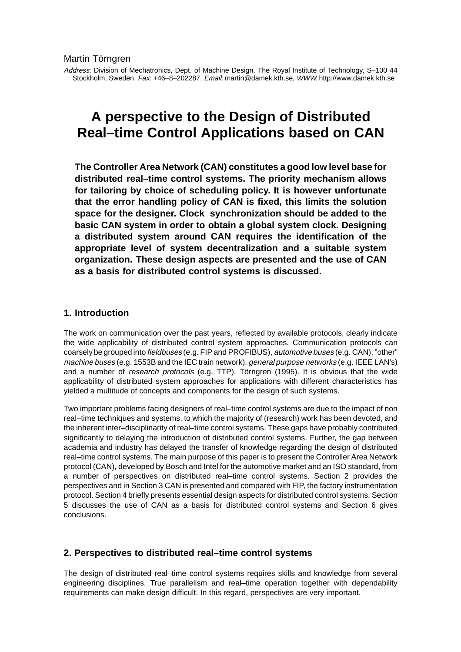Address: Division of Mechatronics, Dept. of Machine Design, The Royal Institute of Technology, S–100 44 Stockholm, Sweden. Fax: +46–8–202287, Email: martin@damek.kth.se, WWW: http://www.damek.kth.se

# **A perspective to the Design of Distributed Real–time Control Applications based on CAN**

**The Controller Area Network (CAN) constitutes a good low level base for distributed real–time control systems. The priority mechanism allows for tailoring by choice of scheduling policy. It is however unfortunate that the error handling policy of CAN is fixed, this limits the solution space for the designer. Clock synchronization should be added to the basic CAN system in order to obtain a global system clock. Designing a distributed system around CAN requires the identification of the appropriate level of system decentralization and a suitable system organization. These design aspects are presented and the use of CAN as a basis for distributed control systems is discussed.**

## **1. Introduction**

The work on communication over the past years, reflected by available protocols, clearly indicate the wide applicability of distributed control system approaches. Communication protocols can coarsely be grouped into fieldbuses (e.g. FIP and PROFIBUS), automotive buses (e.g. CAN), "other" machine buses (e.g. 1553B and the IEC train network), *general purpose networks* (e.g. IEEE LAN's) and a number of research protocols (e.g. TTP), Törngren (1995). It is obvious that the wide applicability of distributed system approaches for applications with different characteristics has yielded a multitude of concepts and components for the design of such systems.

Two important problems facing designers of real–time control systems are due to the impact of non real–time techniques and systems, to which the majority of (research) work has been devoted, and the inherent inter–disciplinarity of real–time control systems. These gaps have probably contributed significantly to delaying the introduction of distributed control systems. Further, the gap between academia and industry has delayed the transfer of knowledge regarding the design of distributed real–time control systems. The main purpose of this paper is to present the Controller Area Network protocol (CAN), developed by Bosch and Intel for the automotive market and an ISO standard, from a number of perspectives on distributed real–time control systems. Section 2 provides the perspectives and in Section 3 CAN is presented and compared with FIP, the factory instrumentation protocol. Section 4 briefly presents essential design aspects for distributed control systems. Section 5 discusses the use of CAN as a basis for distributed control systems and Section 6 gives conclusions.

### **2. Perspectives to distributed real–time control systems**

The design of distributed real–time control systems requires skills and knowledge from several engineering disciplines. True parallelism and real–time operation together with dependability requirements can make design difficult. In this regard, perspectives are very important.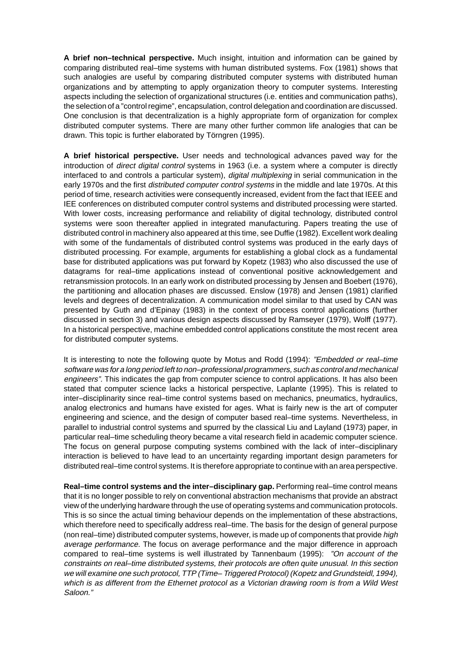**A brief non–technical perspective.** Much insight, intuition and information can be gained by comparing distributed real–time systems with human distributed systems. Fox (1981) shows that such analogies are useful by comparing distributed computer systems with distributed human organizations and by attempting to apply organization theory to computer systems. Interesting aspects including the selection of organizational structures (i.e. entities and communication paths), the selection of a "control regime", encapsulation, control delegation and coordination are discussed. One conclusion is that decentralization is a highly appropriate form of organization for complex distributed computer systems. There are many other further common life analogies that can be drawn. This topic is further elaborated by Törngren (1995).

**A brief historical perspective.** User needs and technological advances paved way for the introduction of *direct digital control* systems in 1963 (i.e. a system where a computer is directly interfaced to and controls a particular system), digital multiplexing in serial communication in the early 1970s and the first *distributed computer control systems* in the middle and late 1970s. At this period of time, research activities were consequently increased, evident from the fact that IEEE and IEE conferences on distributed computer control systems and distributed processing were started. With lower costs, increasing performance and reliability of digital technology, distributed control systems were soon thereafter applied in integrated manufacturing. Papers treating the use of distributed control in machinery also appeared at this time, see Duffie (1982). Excellent work dealing with some of the fundamentals of distributed control systems was produced in the early days of distributed processing. For example, arguments for establishing a global clock as a fundamental base for distributed applications was put forward by Kopetz (1983) who also discussed the use of datagrams for real–time applications instead of conventional positive acknowledgement and retransmission protocols. In an early work on distributed processing by Jensen and Boebert (1976), the partitioning and allocation phases are discussed. Enslow (1978) and Jensen (1981) clarified levels and degrees of decentralization. A communication model similar to that used by CAN was presented by Guth and d'Epinay (1983) in the context of process control applications (further discussed in section 3) and various design aspects discussed by Ramseyer (1979), Wolff (1977). In a historical perspective, machine embedded control applications constitute the most recent area for distributed computer systems.

It is interesting to note the following quote by Motus and Rodd (1994): "Embedded or real-time software was for a long period left to non–professional programmers, such as control and mechanical engineers". This indicates the gap from computer science to control applications. It has also been stated that computer science lacks a historical perspective, Laplante (1995). This is related to inter–disciplinarity since real–time control systems based on mechanics, pneumatics, hydraulics, analog electronics and humans have existed for ages. What is fairly new is the art of computer engineering and science, and the design of computer based real–time systems. Nevertheless, in parallel to industrial control systems and spurred by the classical Liu and Layland (1973) paper, in particular real–time scheduling theory became a vital research field in academic computer science. The focus on general purpose computing systems combined with the lack of inter–disciplinary interaction is believed to have lead to an uncertainty regarding important design parameters for distributed real–time control systems. It is therefore appropriate to continue with an area perspective.

**Real–time control systems and the inter–disciplinary gap.** Performing real–time control means that it is no longer possible to rely on conventional abstraction mechanisms that provide an abstract view of the underlying hardware through the use of operating systems and communication protocols. This is so since the actual timing behaviour depends on the implementation of these abstractions, which therefore need to specifically address real–time. The basis for the design of general purpose (non real–time) distributed computer systems, however, is made up of components that provide high average performance. The focus on average performance and the major difference in approach compared to real–time systems is well illustrated by Tannenbaum (1995): "On account of the constraints on real–time distributed systems, their protocols are often quite unusual. In this section we will examine one such protocol, TTP (Time– Triggered Protocol) (Kopetz and Grundsteidl, 1994), which is as different from the Ethernet protocol as a Victorian drawing room is from a Wild West Saloon."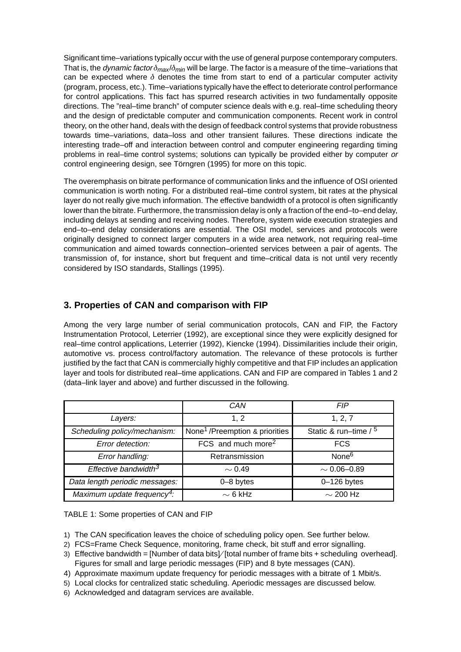Significant time–variations typically occur with the use of general purpose contemporary computers. That is, the *dynamic factor*  $\delta_{max}/\delta_{min}$  will be large. The factor is a measure of the time–variations that can be expected where  $\delta$  denotes the time from start to end of a particular computer activity (program, process, etc.). Time–variations typically have the effect to deteriorate control performance for control applications. This fact has spurred research activities in two fundamentally opposite directions. The "real–time branch" of computer science deals with e.g. real–time scheduling theory and the design of predictable computer and communication components. Recent work in control theory, on the other hand, deals with the design of feedback control systems that provide robustness towards time–variations, data–loss and other transient failures. These directions indicate the interesting trade–off and interaction between control and computer engineering regarding timing problems in real–time control systems; solutions can typically be provided either by computer or control engineering design, see Törngren (1995) for more on this topic.

The overemphasis on bitrate performance of communication links and the influence of OSI oriented communication is worth noting. For a distributed real–time control system, bit rates at the physical layer do not really give much information. The effective bandwidth of a protocol is often significantly lower than the bitrate. Furthermore, the transmission delay is only a fraction of the end–to–end delay, including delays at sending and receiving nodes. Therefore, system wide execution strategies and end–to–end delay considerations are essential. The OSI model, services and protocols were originally designed to connect larger computers in a wide area network, not requiring real–time communication and aimed towards connection–oriented services between a pair of agents. The transmission of, for instance, short but frequent and time–critical data is not until very recently considered by ISO standards, Stallings (1995).

# **3. Properties of CAN and comparison with FIP**

Among the very large number of serial communication protocols, CAN and FIP, the Factory Instrumentation Protocol, Leterrier (1992), are exceptional since they were explicitly designed for real–time control applications, Leterrier (1992), Kiencke (1994). Dissimilarities include their origin, automotive vs. process control/factory automation. The relevance of these protocols is further justified by the fact that CAN is commercially highly competitive and that FIP includes an application layer and tools for distributed real–time applications. CAN and FIP are compared in Tables 1 and 2 (data–link layer and above) and further discussed in the following.

|                                         | CAN                                        | <b>FIP</b>             |
|-----------------------------------------|--------------------------------------------|------------------------|
| Layers:                                 | 1, 2                                       | 1, 2, 7                |
| Scheduling policy/mechanism:            | None <sup>1</sup> /Preemption & priorities | Static & run-time $/5$ |
| Error detection:                        | FCS and much more <sup>2</sup>             | <b>FCS</b>             |
| Error handling:                         | Retransmission                             | None <sup>6</sup>      |
| Effective bandwidth $3$                 | $\sim$ 0.49                                | $\sim 0.06 - 0.89$     |
| Data length periodic messages:          | $0 - 8$ bytes                              | $0-126$ bytes          |
| Maximum update frequency <sup>4</sup> : | $\sim$ 6 kHz                               | $\sim$ 200 Hz          |

TABLE 1: Some properties of CAN and FIP

- 1) The CAN specification leaves the choice of scheduling policy open. See further below.
- 2) FCS=Frame Check Sequence, monitoring, frame check, bit stuff and error signalling.
- 3) Effective bandwidth = [Number of data bits]/[total number of frame bits + scheduling overhead]. Figures for small and large periodic messages (FIP) and 8 byte messages (CAN).
- 4) Approximate maximum update frequency for periodic messages with a bitrate of 1 Mbit/s.
- 5) Local clocks for centralized static scheduling. Aperiodic messages are discussed below.
- 6) Acknowledged and datagram services are available.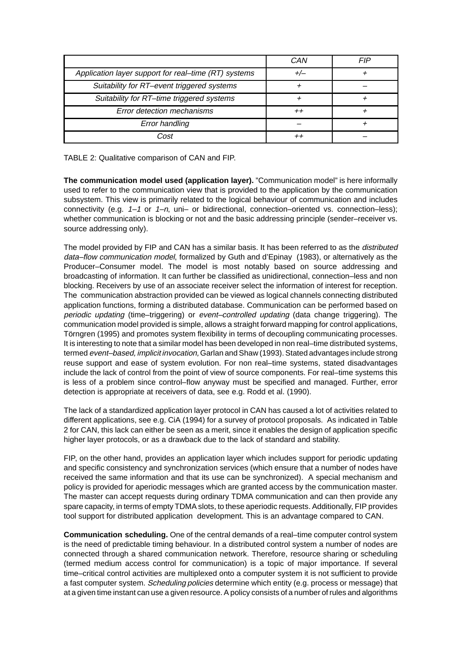|                                                      | CAN   | FIP |
|------------------------------------------------------|-------|-----|
| Application layer support for real-time (RT) systems | $+/-$ |     |
| Suitability for RT-event triggered systems           |       |     |
| Suitability for RT-time triggered systems            |       |     |
| Error detection mechanisms                           |       |     |
| <b>Error handling</b>                                |       |     |
| Cost                                                 |       |     |

TABLE 2: Qualitative comparison of CAN and FIP.

**The communication model used (application layer).** "Communication model" is here informally used to refer to the communication view that is provided to the application by the communication subsystem. This view is primarily related to the logical behaviour of communication and includes connectivity (e.g.  $1-1$  or  $1-n$ , uni- or bidirectional, connection-oriented vs. connection-less); whether communication is blocking or not and the basic addressing principle (sender–receiver vs. source addressing only).

The model provided by FIP and CAN has a similar basis. It has been referred to as the *distributed* data–flow communication model, formalized by Guth and d'Epinay (1983), or alternatively as the Producer–Consumer model. The model is most notably based on source addressing and broadcasting of information. It can further be classified as unidirectional, connection–less and non blocking. Receivers by use of an associate receiver select the information of interest for reception. The communication abstraction provided can be viewed as logical channels connecting distributed application functions, forming a distributed database. Communication can be performed based on periodic updating (time–triggering) or event–controlled updating (data change triggering). The communication model provided is simple, allows a straight forward mapping for control applications, Törngren (1995) and promotes system flexibility in terms of decoupling communicating processes. It is interesting to note that a similar model has been developed in non real–time distributed systems, termed event–based, implicit invocation, Garlan and Shaw (1993). Stated advantages include strong reuse support and ease of system evolution. For non real–time systems, stated disadvantages include the lack of control from the point of view of source components. For real–time systems this is less of a problem since control–flow anyway must be specified and managed. Further, error detection is appropriate at receivers of data, see e.g. Rodd et al. (1990).

The lack of a standardized application layer protocol in CAN has caused a lot of activities related to different applications, see e.g. CiA (1994) for a survey of protocol proposals. As indicated in Table 2 for CAN, this lack can either be seen as a merit, since it enables the design of application specific higher layer protocols, or as a drawback due to the lack of standard and stability.

FIP, on the other hand, provides an application layer which includes support for periodic updating and specific consistency and synchronization services (which ensure that a number of nodes have received the same information and that its use can be synchronized). A special mechanism and policy is provided for aperiodic messages which are granted access by the communication master. The master can accept requests during ordinary TDMA communication and can then provide any spare capacity, in terms of empty TDMA slots, to these aperiodic requests. Additionally, FIP provides tool support for distributed application development. This is an advantage compared to CAN.

**Communication scheduling.** One of the central demands of a real–time computer control system is the need of predictable timing behaviour. In a distributed control system a number of nodes are connected through a shared communication network. Therefore, resource sharing or scheduling (termed medium access control for communication) is a topic of major importance. If several time–critical control activities are multiplexed onto a computer system it is not sufficient to provide a fast computer system. Scheduling policies determine which entity (e.g. process or message) that at a given time instant can use a given resource. A policy consists of a number of rules and algorithms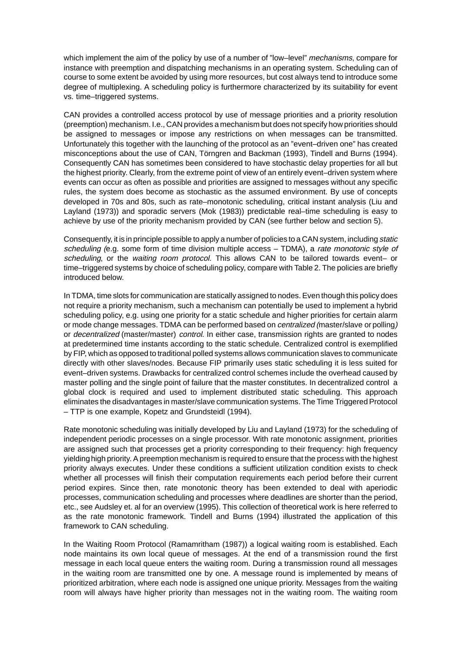which implement the aim of the policy by use of a number of "low-level" *mechanisms*, compare for instance with preemption and dispatching mechanisms in an operating system. Scheduling can of course to some extent be avoided by using more resources, but cost always tend to introduce some degree of multiplexing. A scheduling policy is furthermore characterized by its suitability for event vs. time–triggered systems.

CAN provides a controlled access protocol by use of message priorities and a priority resolution (preemption) mechanism. I.e., CAN provides a mechanism but does not specify how priorities should be assigned to messages or impose any restrictions on when messages can be transmitted. Unfortunately this together with the launching of the protocol as an "event–driven one" has created misconceptions about the use of CAN, Törngren and Backman (1993), Tindell and Burns (1994). Consequently CAN has sometimes been considered to have stochastic delay properties for all but the highest priority. Clearly, from the extreme point of view of an entirely event–driven system where events can occur as often as possible and priorities are assigned to messages without any specific rules, the system does become as stochastic as the assumed environment. By use of concepts developed in 70s and 80s, such as rate–monotonic scheduling, critical instant analysis (Liu and Layland (1973)) and sporadic servers (Mok (1983)) predictable real–time scheduling is easy to achieve by use of the priority mechanism provided by CAN (see further below and section 5).

Consequently, it is in principle possible to apply a number of policies to a CAN system, including static scheduling (e.g. some form of time division multiple access  $-$  TDMA), a rate monotonic style of scheduling, or the waiting room protocol. This allows CAN to be tailored towards event- or time–triggered systems by choice of scheduling policy, compare with Table 2. The policies are briefly introduced below.

In TDMA, time slots for communication are statically assigned to nodes. Even though this policy does not require a priority mechanism, such a mechanism can potentially be used to implement a hybrid scheduling policy, e.g. using one priority for a static schedule and higher priorities for certain alarm or mode change messages. TDMA can be performed based on centralized (master/slave or polling) or decentralized (master/master) control. In either case, transmission rights are granted to nodes at predetermined time instants according to the static schedule. Centralized control is exemplified by FIP, which as opposed to traditional polled systems allows communication slaves to communicate directly with other slaves/nodes. Because FIP primarily uses static scheduling it is less suited for event–driven systems. Drawbacks for centralized control schemes include the overhead caused by master polling and the single point of failure that the master constitutes. In decentralized control a global clock is required and used to implement distributed static scheduling. This approach eliminates the disadvantages in master/slave communication systems. The Time Triggered Protocol – TTP is one example, Kopetz and Grundsteidl (1994).

Rate monotonic scheduling was initially developed by Liu and Layland (1973) for the scheduling of independent periodic processes on a single processor. With rate monotonic assignment, priorities are assigned such that processes get a priority corresponding to their frequency: high frequency yielding high priority. A preemption mechanism is required to ensure that the process with the highest priority always executes. Under these conditions a sufficient utilization condition exists to check whether all processes will finish their computation requirements each period before their current period expires. Since then, rate monotonic theory has been extended to deal with aperiodic processes, communication scheduling and processes where deadlines are shorter than the period, etc., see Audsley et. al for an overview (1995). This collection of theoretical work is here referred to as the rate monotonic framework. Tindell and Burns (1994) illustrated the application of this framework to CAN scheduling.

In the Waiting Room Protocol (Ramamritham (1987)) a logical waiting room is established. Each node maintains its own local queue of messages. At the end of a transmission round the first message in each local queue enters the waiting room. During a transmission round all messages in the waiting room are transmitted one by one. A message round is implemented by means of prioritized arbitration, where each node is assigned one unique priority. Messages from the waiting room will always have higher priority than messages not in the waiting room. The waiting room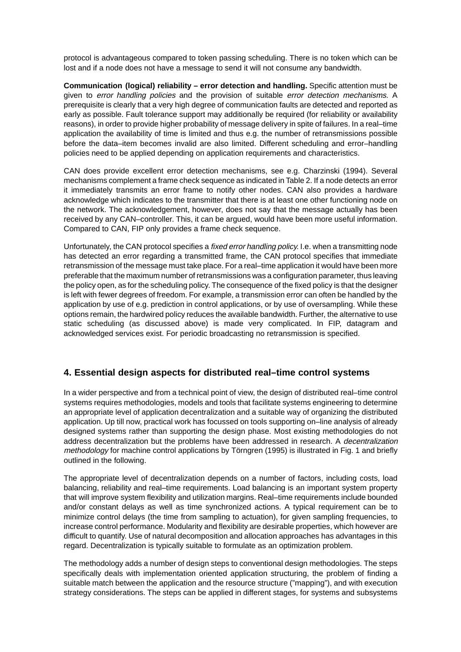protocol is advantageous compared to token passing scheduling. There is no token which can be lost and if a node does not have a message to send it will not consume any bandwidth.

**Communication (logical) reliability – error detection and handling.** Specific attention must be given to error handling policies and the provision of suitable error detection mechanisms. A prerequisite is clearly that a very high degree of communication faults are detected and reported as early as possible. Fault tolerance support may additionally be required (for reliability or availability reasons), in order to provide higher probability of message delivery in spite of failures. In a real–time application the availability of time is limited and thus e.g. the number of retransmissions possible before the data–item becomes invalid are also limited. Different scheduling and error–handling policies need to be applied depending on application requirements and characteristics.

CAN does provide excellent error detection mechanisms, see e.g. Charzinski (1994). Several mechanisms complement a frame check sequence as indicated in Table 2. If a node detects an error it immediately transmits an error frame to notify other nodes. CAN also provides a hardware acknowledge which indicates to the transmitter that there is at least one other functioning node on the network. The acknowledgement, however, does not say that the message actually has been received by any CAN–controller. This, it can be argued, would have been more useful information. Compared to CAN, FIP only provides a frame check sequence.

Unfortunately, the CAN protocol specifies a *fixed error handling policy*. I.e. when a transmitting node has detected an error regarding a transmitted frame, the CAN protocol specifies that immediate retransmission of the message must take place. For a real–time application it would have been more preferable that the maximum number of retransmissions was a configuration parameter, thus leaving the policy open, as for the scheduling policy. The consequence of the fixed policy is that the designer is left with fewer degrees of freedom. For example, a transmission error can often be handled by the application by use of e.g. prediction in control applications, or by use of oversampling. While these options remain, the hardwired policy reduces the available bandwidth. Further, the alternative to use static scheduling (as discussed above) is made very complicated. In FIP, datagram and acknowledged services exist. For periodic broadcasting no retransmission is specified.

# **4. Essential design aspects for distributed real–time control systems**

In a wider perspective and from a technical point of view, the design of distributed real–time control systems requires methodologies, models and tools that facilitate systems engineering to determine an appropriate level of application decentralization and a suitable way of organizing the distributed application. Up till now, practical work has focussed on tools supporting on–line analysis of already designed systems rather than supporting the design phase. Most existing methodologies do not address decentralization but the problems have been addressed in research. A decentralization methodology for machine control applications by Törngren (1995) is illustrated in Fig. 1 and briefly outlined in the following.

The appropriate level of decentralization depends on a number of factors, including costs, load balancing, reliability and real–time requirements. Load balancing is an important system property that will improve system flexibility and utilization margins. Real–time requirements include bounded and/or constant delays as well as time synchronized actions. A typical requirement can be to minimize control delays (the time from sampling to actuation), for given sampling frequencies, to increase control performance. Modularity and flexibility are desirable properties, which however are difficult to quantify. Use of natural decomposition and allocation approaches has advantages in this regard. Decentralization is typically suitable to formulate as an optimization problem.

The methodology adds a number of design steps to conventional design methodologies. The steps specifically deals with implementation oriented application structuring, the problem of finding a suitable match between the application and the resource structure ("mapping"), and with execution strategy considerations. The steps can be applied in different stages, for systems and subsystems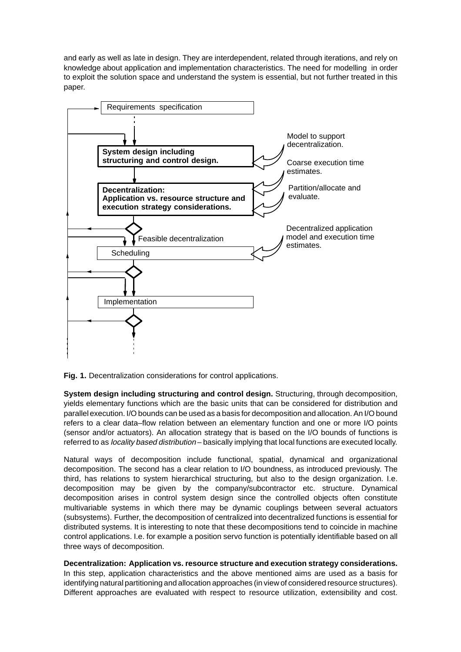and early as well as late in design. They are interdependent, related through iterations, and rely on knowledge about application and implementation characteristics. The need for modelling in order to exploit the solution space and understand the system is essential, but not further treated in this paper.





**System design including structuring and control design.** Structuring, through decomposition, yields elementary functions which are the basic units that can be considered for distribution and parallel execution. I/O bounds can be used as a basis for decomposition and allocation. An I/O bound refers to a clear data–flow relation between an elementary function and one or more I/O points (sensor and/or actuators). An allocation strategy that is based on the I/O bounds of functions is referred to as locality based distribution – basically implying that local functions are executed locally.

Natural ways of decomposition include functional, spatial, dynamical and organizational decomposition. The second has a clear relation to I/O boundness, as introduced previously. The third, has relations to system hierarchical structuring, but also to the design organization. I.e. decomposition may be given by the company/subcontractor etc. structure. Dynamical decomposition arises in control system design since the controlled objects often constitute multivariable systems in which there may be dynamic couplings between several actuators (subsystems). Further, the decomposition of centralized into decentralized functions is essential for distributed systems. It is interesting to note that these decompositions tend to coincide in machine control applications. I.e. for example a position servo function is potentially identifiable based on all three ways of decomposition.

#### **Decentralization: Application vs. resource structure and execution strategy considerations.**

In this step, application characteristics and the above mentioned aims are used as a basis for identifying natural partitioning and allocation approaches (in view of considered resource structures). Different approaches are evaluated with respect to resource utilization, extensibility and cost.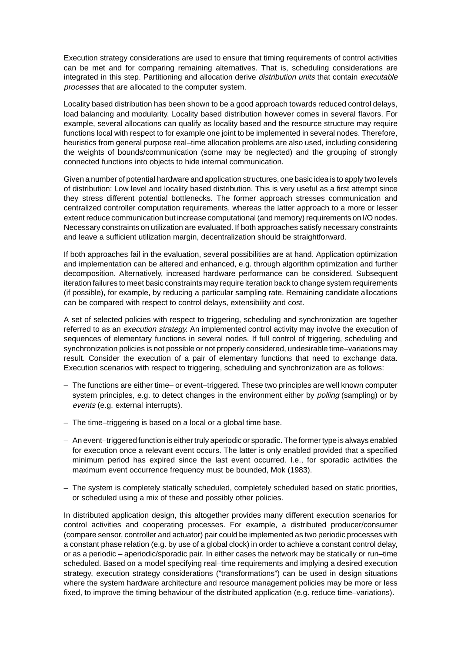Execution strategy considerations are used to ensure that timing requirements of control activities can be met and for comparing remaining alternatives. That is, scheduling considerations are integrated in this step. Partitioning and allocation derive distribution units that contain executable processes that are allocated to the computer system.

Locality based distribution has been shown to be a good approach towards reduced control delays, load balancing and modularity. Locality based distribution however comes in several flavors. For example, several allocations can qualify as locality based and the resource structure may require functions local with respect to for example one joint to be implemented in several nodes. Therefore, heuristics from general purpose real–time allocation problems are also used, including considering the weights of bounds/communication (some may be neglected) and the grouping of strongly connected functions into objects to hide internal communication.

Given a number of potential hardware and application structures, one basic idea is to apply two levels of distribution: Low level and locality based distribution. This is very useful as a first attempt since they stress different potential bottlenecks. The former approach stresses communication and centralized controller computation requirements, whereas the latter approach to a more or lesser extent reduce communication but increase computational (and memory) requirements on I/O nodes. Necessary constraints on utilization are evaluated. If both approaches satisfy necessary constraints and leave a sufficient utilization margin, decentralization should be straightforward.

If both approaches fail in the evaluation, several possibilities are at hand. Application optimization and implementation can be altered and enhanced, e.g. through algorithm optimization and further decomposition. Alternatively, increased hardware performance can be considered. Subsequent iteration failures to meet basic constraints may require iteration back to change system requirements (if possible), for example, by reducing a particular sampling rate. Remaining candidate allocations can be compared with respect to control delays, extensibility and cost.

A set of selected policies with respect to triggering, scheduling and synchronization are together referred to as an *execution strategy*. An implemented control activity may involve the execution of sequences of elementary functions in several nodes. If full control of triggering, scheduling and synchronization policies is not possible or not properly considered, undesirable time–variations may result. Consider the execution of a pair of elementary functions that need to exchange data. Execution scenarios with respect to triggering, scheduling and synchronization are as follows:

- The functions are either time– or event–triggered. These two principles are well known computer system principles, e.g. to detect changes in the environment either by *polling* (sampling) or by events (e.g. external interrupts).
- The time–triggering is based on a local or a global time base.
- An event–triggered function is either truly aperiodic or sporadic. The former type is always enabled for execution once a relevant event occurs. The latter is only enabled provided that a specified minimum period has expired since the last event occurred. I.e., for sporadic activities the maximum event occurrence frequency must be bounded, Mok (1983).
- The system is completely statically scheduled, completely scheduled based on static priorities, or scheduled using a mix of these and possibly other policies.

In distributed application design, this altogether provides many different execution scenarios for control activities and cooperating processes. For example, a distributed producer/consumer (compare sensor, controller and actuator) pair could be implemented as two periodic processes with a constant phase relation (e.g. by use of a global clock) in order to achieve a constant control delay, or as a periodic – aperiodic/sporadic pair. In either cases the network may be statically or run–time scheduled. Based on a model specifying real–time requirements and implying a desired execution strategy, execution strategy considerations ("transformations") can be used in design situations where the system hardware architecture and resource management policies may be more or less fixed, to improve the timing behaviour of the distributed application (e.g. reduce time–variations).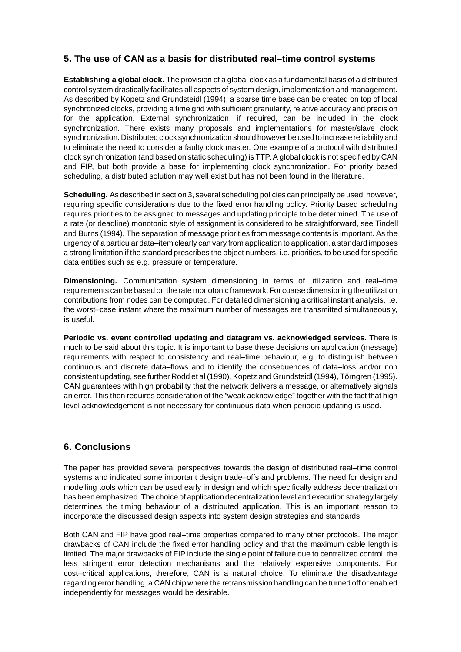# **5. The use of CAN as a basis for distributed real–time control systems**

**Establishing a global clock.** The provision of a global clock as a fundamental basis of a distributed control system drastically facilitates all aspects of system design, implementation and management. As described by Kopetz and Grundsteidl (1994), a sparse time base can be created on top of local synchronized clocks, providing a time grid with sufficient granularity, relative accuracy and precision for the application. External synchronization, if required, can be included in the clock synchronization. There exists many proposals and implementations for master/slave clock synchronization. Distributed clock synchronization should however be used to increase reliability and to eliminate the need to consider a faulty clock master. One example of a protocol with distributed clock synchronization (and based on static scheduling) is TTP. A global clock is not specified by CAN and FIP, but both provide a base for implementing clock synchronization. For priority based scheduling, a distributed solution may well exist but has not been found in the literature.

**Scheduling.** As described in section 3, several scheduling policies can principally be used, however, requiring specific considerations due to the fixed error handling policy. Priority based scheduling requires priorities to be assigned to messages and updating principle to be determined. The use of a rate (or deadline) monotonic style of assignment is considered to be straightforward, see Tindell and Burns (1994). The separation of message priorities from message contents is important. As the urgency of a particular data–item clearly can vary from application to application, a standard imposes a strong limitation if the standard prescribes the object numbers, i.e. priorities, to be used for specific data entities such as e.g. pressure or temperature.

**Dimensioning.** Communication system dimensioning in terms of utilization and real–time requirements can be based on the rate monotonic framework. For coarse dimensioning the utilization contributions from nodes can be computed. For detailed dimensioning a critical instant analysis, i.e. the worst–case instant where the maximum number of messages are transmitted simultaneously, is useful.

**Periodic vs. event controlled updating and datagram vs. acknowledged services.** There is much to be said about this topic. It is important to base these decisions on application (message) requirements with respect to consistency and real–time behaviour, e.g. to distinguish between continuous and discrete data–flows and to identify the consequences of data–loss and/or non consistent updating, see further Rodd et al (1990), Kopetz and Grundsteidl (1994), Törngren (1995). CAN guarantees with high probability that the network delivers a message, or alternatively signals an error. This then requires consideration of the "weak acknowledge" together with the fact that high level acknowledgement is not necessary for continuous data when periodic updating is used.

### **6. Conclusions**

The paper has provided several perspectives towards the design of distributed real–time control systems and indicated some important design trade–offs and problems. The need for design and modelling tools which can be used early in design and which specifically address decentralization has been emphasized. The choice of application decentralization level and execution strategy largely determines the timing behaviour of a distributed application. This is an important reason to incorporate the discussed design aspects into system design strategies and standards.

Both CAN and FIP have good real–time properties compared to many other protocols. The major drawbacks of CAN include the fixed error handling policy and that the maximum cable length is limited. The major drawbacks of FIP include the single point of failure due to centralized control, the less stringent error detection mechanisms and the relatively expensive components. For cost–critical applications, therefore, CAN is a natural choice. To eliminate the disadvantage regarding error handling, a CAN chip where the retransmission handling can be turned off or enabled independently for messages would be desirable.